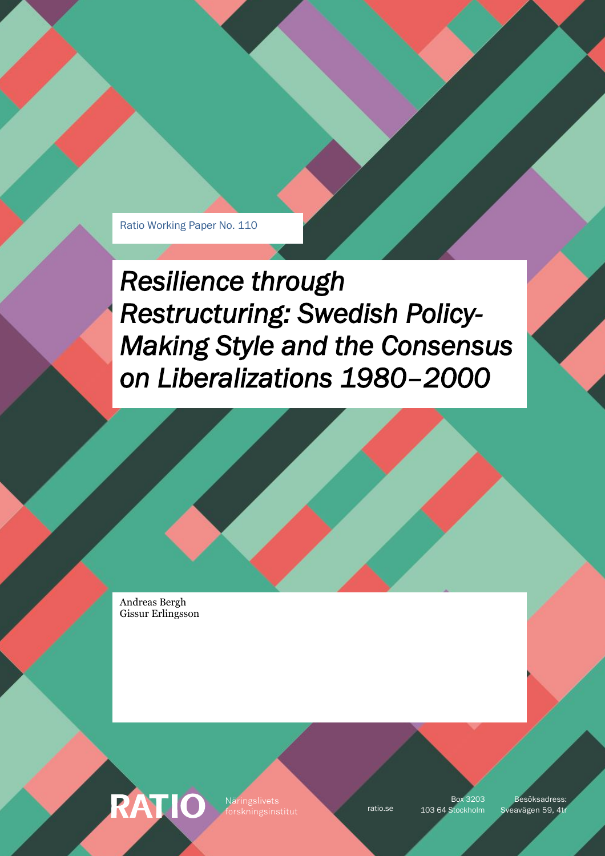Ratio Working Paper No. 110

*Resilience through Restructuring: Swedish Policy-Making Style and the Consensus on Liberalizations 1980–2000* 

Andreas Bergh Gissur Erlingsson

RATIO

Näringslivets

Box 3203

ratio.se 103 64 Stockholm Sveavägen 59, 4tr Besöksadress: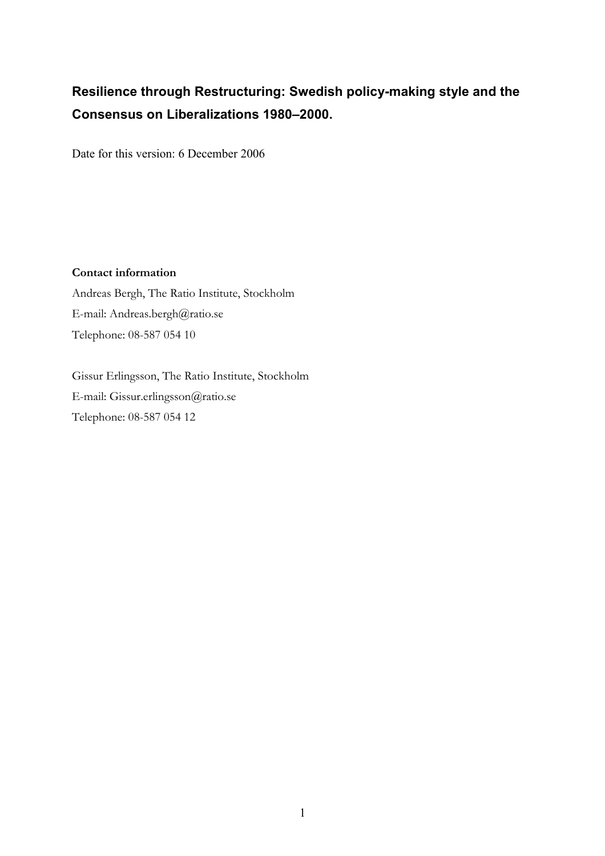# Resilience through Restructuring: Swedish policy-making style and the Consensus on Liberalizations 1980–2000.

Date for this version: 6 December 2006

### Contact information

Andreas Bergh, The Ratio Institute, Stockholm E-mail: Andreas.bergh@ratio.se Telephone: 08-587 054 10

Gissur Erlingsson, The Ratio Institute, Stockholm E-mail: Gissur.erlingsson@ratio.se Telephone: 08-587 054 12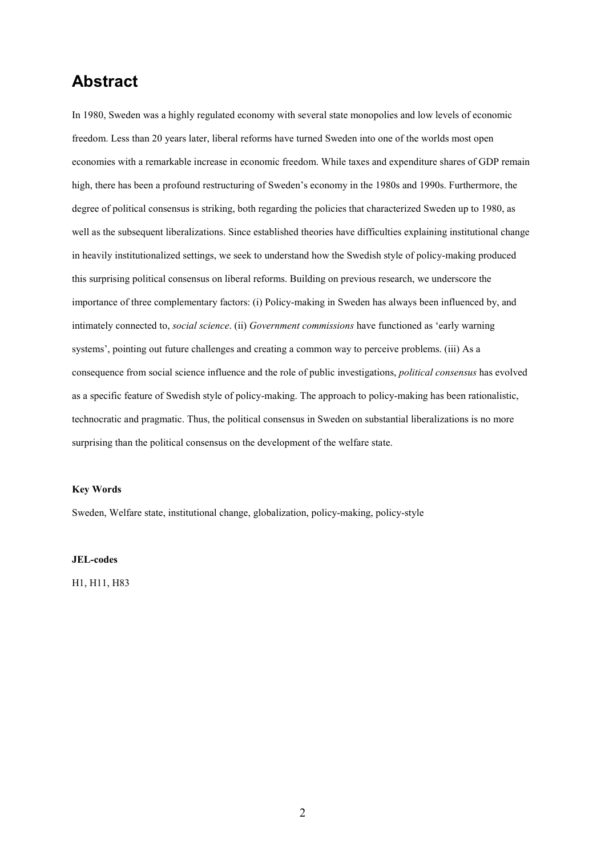## Abstract

In 1980, Sweden was a highly regulated economy with several state monopolies and low levels of economic freedom. Less than 20 years later, liberal reforms have turned Sweden into one of the worlds most open economies with a remarkable increase in economic freedom. While taxes and expenditure shares of GDP remain high, there has been a profound restructuring of Sweden's economy in the 1980s and 1990s. Furthermore, the degree of political consensus is striking, both regarding the policies that characterized Sweden up to 1980, as well as the subsequent liberalizations. Since established theories have difficulties explaining institutional change in heavily institutionalized settings, we seek to understand how the Swedish style of policy-making produced this surprising political consensus on liberal reforms. Building on previous research, we underscore the importance of three complementary factors: (i) Policy-making in Sweden has always been influenced by, and intimately connected to, *social science*. (ii) Government commissions have functioned as 'early warning systems', pointing out future challenges and creating a common way to perceive problems. (iii) As a consequence from social science influence and the role of public investigations, political consensus has evolved as a specific feature of Swedish style of policy-making. The approach to policy-making has been rationalistic, technocratic and pragmatic. Thus, the political consensus in Sweden on substantial liberalizations is no more surprising than the political consensus on the development of the welfare state.

#### Key Words

Sweden, Welfare state, institutional change, globalization, policy-making, policy-style

JEL-codes

H1, H11, H83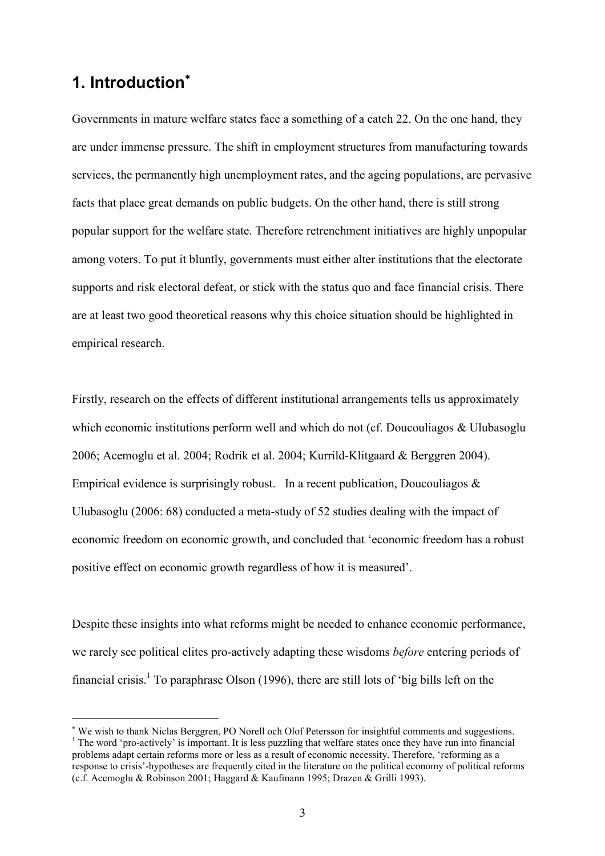## 1. Introduction<sup>\*</sup>

 $\overline{a}$ 

Governments in mature welfare states face a something of a catch 22. On the one hand, they are under immense pressure. The shift in employment structures from manufacturing towards services, the permanently high unemployment rates, and the ageing populations, are pervasive facts that place great demands on public budgets. On the other hand, there is still strong popular support for the welfare state. Therefore retrenchment initiatives are highly unpopular among voters. To put it bluntly, governments must either alter institutions that the electorate supports and risk electoral defeat, or stick with the status quo and face financial crisis. There are at least two good theoretical reasons why this choice situation should be highlighted in empirical research.

Firstly, research on the effects of different institutional arrangements tells us approximately which economic institutions perform well and which do not (cf. Doucouliagos & Ulubasoglu 2006; Acemoglu et al. 2004; Rodrik et al. 2004; Kurrild-Klitgaard & Berggren 2004). Empirical evidence is surprisingly robust. In a recent publication, Doucouliagos  $\&$ Ulubasoglu (2006: 68) conducted a meta-study of 52 studies dealing with the impact of economic freedom on economic growth, and concluded that 'economic freedom has a robust positive effect on economic growth regardless of how it is measured'.

Despite these insights into what reforms might be needed to enhance economic performance, we rarely see political elites pro-actively adapting these wisdoms before entering periods of financial crisis.<sup>1</sup> To paraphrase Olson (1996), there are still lots of 'big bills left on the

<sup>∗</sup> We wish to thank Niclas Berggren, PO Norell och Olof Petersson for insightful comments and suggestions. <sup>1</sup> The word 'pro-actively' is important. It is less puzzling that welfare states once they have run into financial problems adapt certain reforms more or less as a result of economic necessity. Therefore, 'reforming as a response to crisis'-hypotheses are frequently cited in the literature on the political economy of political reforms (c.f. Acemoglu & Robinson 2001; Haggard & Kaufmann 1995; Drazen & Grilli 1993).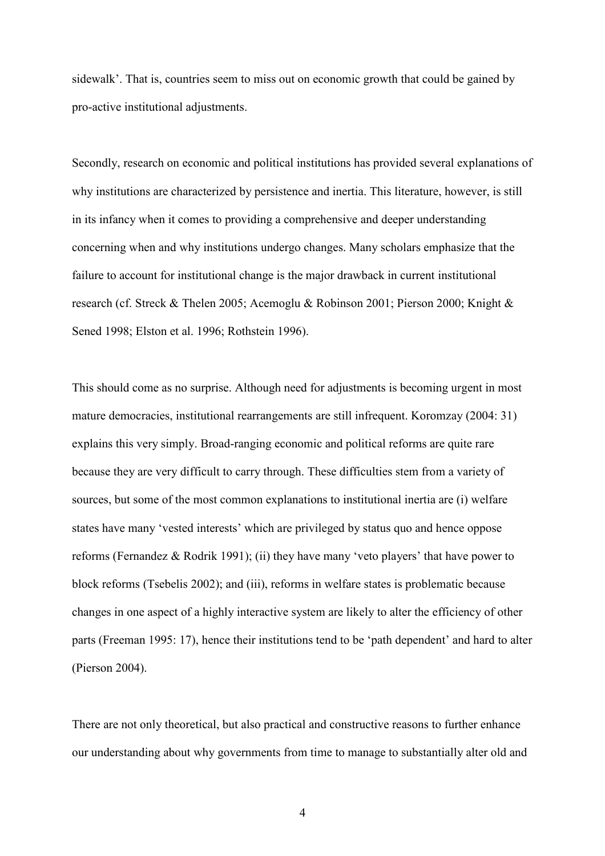sidewalk'. That is, countries seem to miss out on economic growth that could be gained by pro-active institutional adjustments.

Secondly, research on economic and political institutions has provided several explanations of why institutions are characterized by persistence and inertia. This literature, however, is still in its infancy when it comes to providing a comprehensive and deeper understanding concerning when and why institutions undergo changes. Many scholars emphasize that the failure to account for institutional change is the major drawback in current institutional research (cf. Streck & Thelen 2005; Acemoglu & Robinson 2001; Pierson 2000; Knight & Sened 1998; Elston et al. 1996; Rothstein 1996).

This should come as no surprise. Although need for adjustments is becoming urgent in most mature democracies, institutional rearrangements are still infrequent. Koromzay (2004: 31) explains this very simply. Broad-ranging economic and political reforms are quite rare because they are very difficult to carry through. These difficulties stem from a variety of sources, but some of the most common explanations to institutional inertia are (i) welfare states have many 'vested interests' which are privileged by status quo and hence oppose reforms (Fernandez & Rodrik 1991); (ii) they have many 'veto players' that have power to block reforms (Tsebelis 2002); and (iii), reforms in welfare states is problematic because changes in one aspect of a highly interactive system are likely to alter the efficiency of other parts (Freeman 1995: 17), hence their institutions tend to be 'path dependent' and hard to alter (Pierson 2004).

There are not only theoretical, but also practical and constructive reasons to further enhance our understanding about why governments from time to manage to substantially alter old and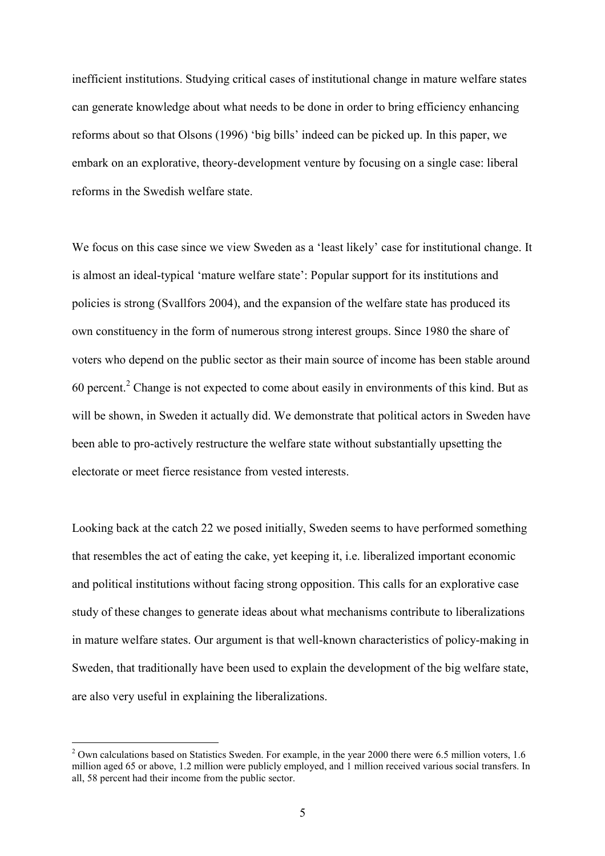inefficient institutions. Studying critical cases of institutional change in mature welfare states can generate knowledge about what needs to be done in order to bring efficiency enhancing reforms about so that Olsons (1996) 'big bills' indeed can be picked up. In this paper, we embark on an explorative, theory-development venture by focusing on a single case: liberal reforms in the Swedish welfare state.

We focus on this case since we view Sweden as a 'least likely' case for institutional change. It is almost an ideal-typical 'mature welfare state': Popular support for its institutions and policies is strong (Svallfors 2004), and the expansion of the welfare state has produced its own constituency in the form of numerous strong interest groups. Since 1980 the share of voters who depend on the public sector as their main source of income has been stable around 60 percent. $2$  Change is not expected to come about easily in environments of this kind. But as will be shown, in Sweden it actually did. We demonstrate that political actors in Sweden have been able to pro-actively restructure the welfare state without substantially upsetting the electorate or meet fierce resistance from vested interests.

Looking back at the catch 22 we posed initially, Sweden seems to have performed something that resembles the act of eating the cake, yet keeping it, i.e. liberalized important economic and political institutions without facing strong opposition. This calls for an explorative case study of these changes to generate ideas about what mechanisms contribute to liberalizations in mature welfare states. Our argument is that well-known characteristics of policy-making in Sweden, that traditionally have been used to explain the development of the big welfare state, are also very useful in explaining the liberalizations.

 $\overline{a}$ 

 $2$  Own calculations based on Statistics Sweden. For example, in the year 2000 there were 6.5 million voters, 1.6 million aged 65 or above, 1.2 million were publicly employed, and 1 million received various social transfers. In all, 58 percent had their income from the public sector.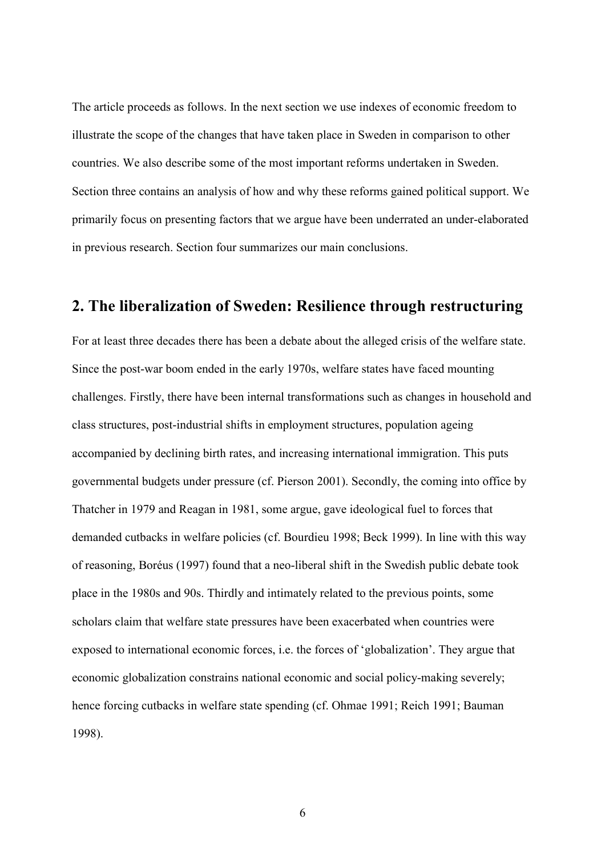The article proceeds as follows. In the next section we use indexes of economic freedom to illustrate the scope of the changes that have taken place in Sweden in comparison to other countries. We also describe some of the most important reforms undertaken in Sweden. Section three contains an analysis of how and why these reforms gained political support. We primarily focus on presenting factors that we argue have been underrated an under-elaborated in previous research. Section four summarizes our main conclusions.

### 2. The liberalization of Sweden: Resilience through restructuring

For at least three decades there has been a debate about the alleged crisis of the welfare state. Since the post-war boom ended in the early 1970s, welfare states have faced mounting challenges. Firstly, there have been internal transformations such as changes in household and class structures, post-industrial shifts in employment structures, population ageing accompanied by declining birth rates, and increasing international immigration. This puts governmental budgets under pressure (cf. Pierson 2001). Secondly, the coming into office by Thatcher in 1979 and Reagan in 1981, some argue, gave ideological fuel to forces that demanded cutbacks in welfare policies (cf. Bourdieu 1998; Beck 1999). In line with this way of reasoning, Boréus (1997) found that a neo-liberal shift in the Swedish public debate took place in the 1980s and 90s. Thirdly and intimately related to the previous points, some scholars claim that welfare state pressures have been exacerbated when countries were exposed to international economic forces, i.e. the forces of 'globalization'. They argue that economic globalization constrains national economic and social policy-making severely; hence forcing cutbacks in welfare state spending (cf. Ohmae 1991; Reich 1991; Bauman 1998).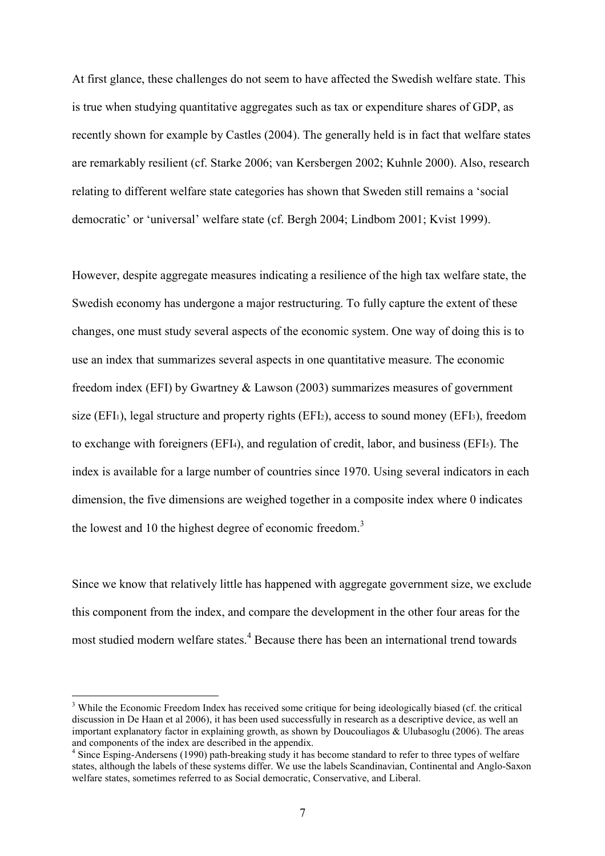At first glance, these challenges do not seem to have affected the Swedish welfare state. This is true when studying quantitative aggregates such as tax or expenditure shares of GDP, as recently shown for example by Castles (2004). The generally held is in fact that welfare states are remarkably resilient (cf. Starke 2006; van Kersbergen 2002; Kuhnle 2000). Also, research relating to different welfare state categories has shown that Sweden still remains a 'social democratic' or 'universal' welfare state (cf. Bergh 2004; Lindbom 2001; Kvist 1999).

However, despite aggregate measures indicating a resilience of the high tax welfare state, the Swedish economy has undergone a major restructuring. To fully capture the extent of these changes, one must study several aspects of the economic system. One way of doing this is to use an index that summarizes several aspects in one quantitative measure. The economic freedom index (EFI) by Gwartney & Lawson (2003) summarizes measures of government size (EFI<sub>1</sub>), legal structure and property rights (EFI<sub>2</sub>), access to sound money (EFI<sub>3</sub>), freedom to exchange with foreigners (EFI4), and regulation of credit, labor, and business (EFI5). The index is available for a large number of countries since 1970. Using several indicators in each dimension, the five dimensions are weighed together in a composite index where 0 indicates the lowest and 10 the highest degree of economic freedom.<sup>3</sup>

Since we know that relatively little has happened with aggregate government size, we exclude this component from the index, and compare the development in the other four areas for the most studied modern welfare states.<sup>4</sup> Because there has been an international trend towards

 $\overline{a}$ 

<sup>&</sup>lt;sup>3</sup> While the Economic Freedom Index has received some critique for being ideologically biased (cf. the critical discussion in De Haan et al 2006), it has been used successfully in research as a descriptive device, as well an important explanatory factor in explaining growth, as shown by Doucouliagos & Ulubasoglu (2006). The areas and components of the index are described in the appendix.

<sup>&</sup>lt;sup>4</sup> Since Esping-Andersens (1990) path-breaking study it has become standard to refer to three types of welfare states, although the labels of these systems differ. We use the labels Scandinavian, Continental and Anglo-Saxon welfare states, sometimes referred to as Social democratic, Conservative, and Liberal.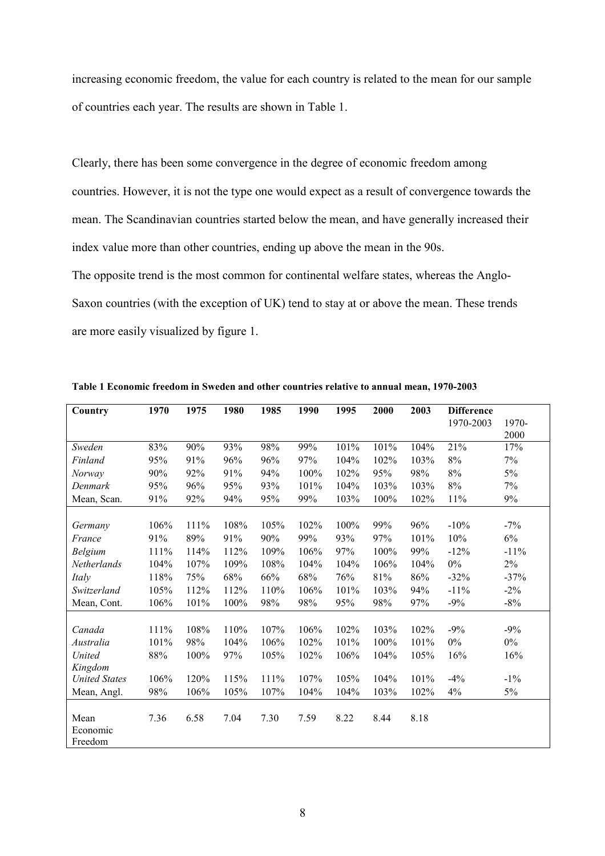increasing economic freedom, the value for each country is related to the mean for our sample of countries each year. The results are shown in Table 1.

Clearly, there has been some convergence in the degree of economic freedom among countries. However, it is not the type one would expect as a result of convergence towards the mean. The Scandinavian countries started below the mean, and have generally increased their index value more than other countries, ending up above the mean in the 90s. The opposite trend is the most common for continental welfare states, whereas the Anglo-Saxon countries (with the exception of UK) tend to stay at or above the mean. These trends are more easily visualized by figure 1.

| Country              | 1970 | 1975 | 1980 | 1985 | 1990 | 1995 | 2000 | 2003 | <b>Difference</b> |         |
|----------------------|------|------|------|------|------|------|------|------|-------------------|---------|
|                      |      |      |      |      |      |      |      |      | 1970-2003         | 1970-   |
|                      |      |      |      |      |      |      |      |      |                   | 2000    |
| Sweden               | 83%  | 90%  | 93%  | 98%  | 99%  | 101% | 101% | 104% | 21%               | 17%     |
| Finland              | 95%  | 91%  | 96%  | 96%  | 97%  | 104% | 102% | 103% | 8%                | 7%      |
| Norway               | 90%  | 92%  | 91%  | 94%  | 100% | 102% | 95%  | 98%  | 8%                | 5%      |
| Denmark              | 95%  | 96%  | 95%  | 93%  | 101% | 104% | 103% | 103% | 8%                | 7%      |
| Mean, Scan.          | 91%  | 92%  | 94%  | 95%  | 99%  | 103% | 100% | 102% | 11%               | 9%      |
|                      |      |      |      |      |      |      |      |      |                   |         |
| Germany              | 106% | 111% | 108% | 105% | 102% | 100% | 99%  | 96%  | $-10%$            | $-7\%$  |
| France               | 91%  | 89%  | 91%  | 90%  | 99%  | 93%  | 97%  | 101% | 10%               | 6%      |
| Belgium              | 111% | 114% | 112% | 109% | 106% | 97%  | 100% | 99%  | $-12%$            | $-11\%$ |
| Netherlands          | 104% | 107% | 109% | 108% | 104% | 104% | 106% | 104% | $0\%$             | 2%      |
| Italy                | 118% | 75%  | 68%  | 66%  | 68%  | 76%  | 81%  | 86%  | $-32%$            | $-37%$  |
| Switzerland          | 105% | 112% | 112% | 110% | 106% | 101% | 103% | 94%  | $-11\%$           | $-2\%$  |
| Mean, Cont.          | 106% | 101% | 100% | 98%  | 98%  | 95%  | 98%  | 97%  | $-9%$             | $-8%$   |
|                      |      |      |      |      |      |      |      |      |                   |         |
| Canada               | 111% | 108% | 110% | 107% | 106% | 102% | 103% | 102% | $-9%$             | $-9%$   |
| Australia            | 101% | 98%  | 104% | 106% | 102% | 101% | 100% | 101% | $0\%$             | $0\%$   |
| United               | 88%  | 100% | 97%  | 105% | 102% | 106% | 104% | 105% | 16%               | 16%     |
| Kingdom              |      |      |      |      |      |      |      |      |                   |         |
| <b>United States</b> | 106% | 120% | 115% | 111% | 107% | 105% | 104% | 101% | $-4%$             | $-1\%$  |
| Mean, Angl.          | 98%  | 106% | 105% | 107% | 104% | 104% | 103% | 102% | 4%                | 5%      |
|                      |      |      |      |      |      |      |      |      |                   |         |
| Mean                 | 7.36 | 6.58 | 7.04 | 7.30 | 7.59 | 8.22 | 8.44 | 8.18 |                   |         |
| Economic             |      |      |      |      |      |      |      |      |                   |         |
| Freedom              |      |      |      |      |      |      |      |      |                   |         |

Table 1 Economic freedom in Sweden and other countries relative to annual mean, 1970-2003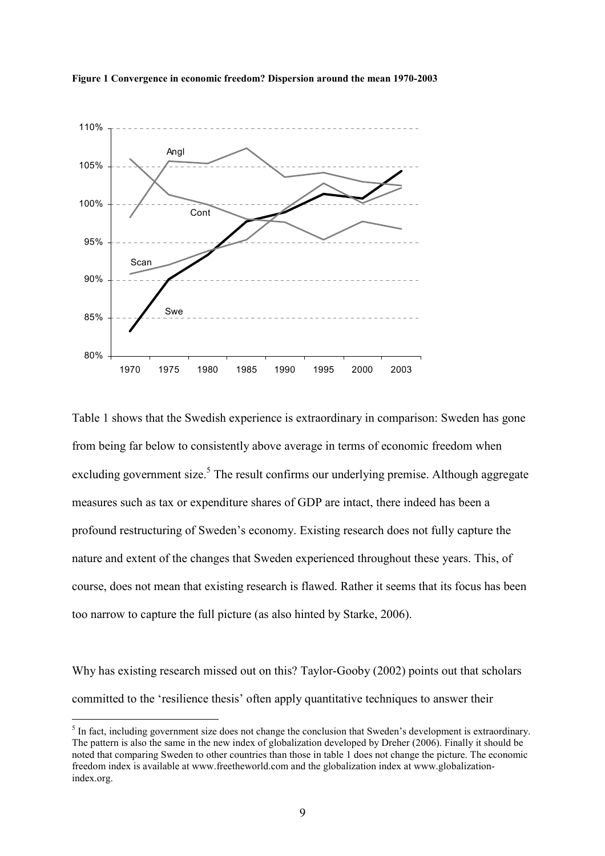



Table 1 shows that the Swedish experience is extraordinary in comparison: Sweden has gone from being far below to consistently above average in terms of economic freedom when excluding government size.<sup>5</sup> The result confirms our underlying premise. Although aggregate measures such as tax or expenditure shares of GDP are intact, there indeed has been a profound restructuring of Sweden's economy. Existing research does not fully capture the nature and extent of the changes that Sweden experienced throughout these years. This, of course, does not mean that existing research is flawed. Rather it seems that its focus has been too narrow to capture the full picture (as also hinted by Starke, 2006).

Why has existing research missed out on this? Taylor-Gooby (2002) points out that scholars committed to the 'resilience thesis' often apply quantitative techniques to answer their

 $\overline{a}$ 

 $<sup>5</sup>$  In fact, including government size does not change the conclusion that Sweden's development is extraordinary.</sup> The pattern is also the same in the new index of globalization developed by Dreher (2006). Finally it should be noted that comparing Sweden to other countries than those in table 1 does not change the picture. The economic freedom index is available at www.freetheworld.com and the globalization index at www.globalizationindex.org.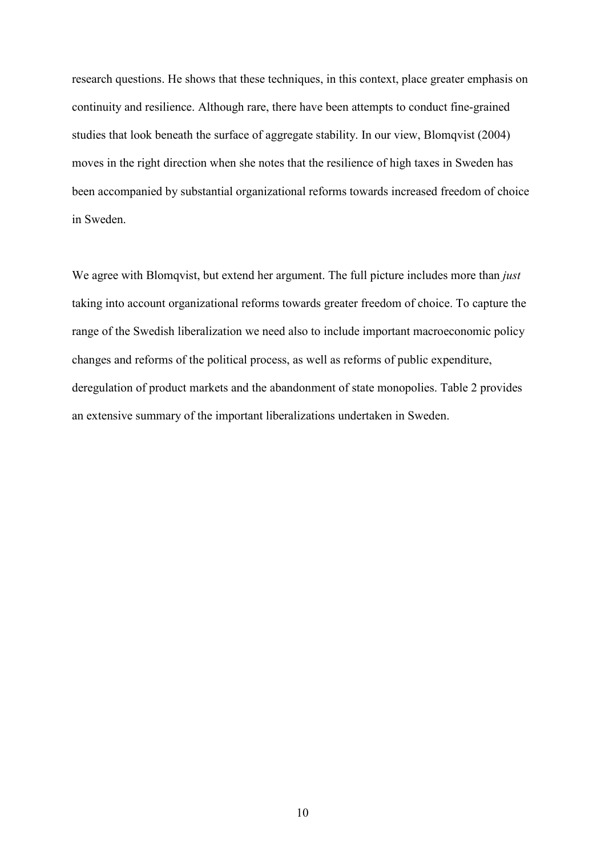research questions. He shows that these techniques, in this context, place greater emphasis on continuity and resilience. Although rare, there have been attempts to conduct fine-grained studies that look beneath the surface of aggregate stability. In our view, Blomqvist (2004) moves in the right direction when she notes that the resilience of high taxes in Sweden has been accompanied by substantial organizational reforms towards increased freedom of choice in Sweden.

We agree with Blomqvist, but extend her argument. The full picture includes more than *just* taking into account organizational reforms towards greater freedom of choice. To capture the range of the Swedish liberalization we need also to include important macroeconomic policy changes and reforms of the political process, as well as reforms of public expenditure, deregulation of product markets and the abandonment of state monopolies. Table 2 provides an extensive summary of the important liberalizations undertaken in Sweden.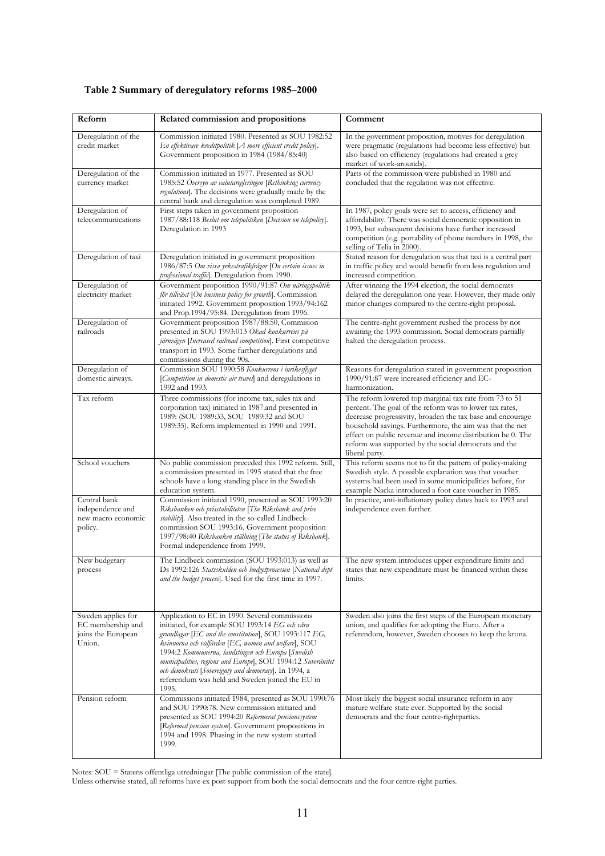| Reform                                                                  | Related commission and propositions                                                                                                                                                                                                                                                                                                                                                                                                                           | Comment                                                                                                                                                                                                                                                                                                                                                                             |
|-------------------------------------------------------------------------|---------------------------------------------------------------------------------------------------------------------------------------------------------------------------------------------------------------------------------------------------------------------------------------------------------------------------------------------------------------------------------------------------------------------------------------------------------------|-------------------------------------------------------------------------------------------------------------------------------------------------------------------------------------------------------------------------------------------------------------------------------------------------------------------------------------------------------------------------------------|
| Deregulation of the<br>credit market                                    | Commission initiated 1980. Presented as SOU 1982:52<br>En effektivare kreditpolitik [A more efficient credit policy].<br>Government proposition in 1984 (1984/85:40)                                                                                                                                                                                                                                                                                          | In the government proposition, motives for deregulation<br>were pragmatic (regulations had become less effective) but<br>also based on efficiency (regulations had created a grey<br>market of work-arounds).                                                                                                                                                                       |
| Deregulation of the<br>currency market                                  | Commission initiated in 1977. Presented as SOU<br>1985:52 Översyn av valutaregleringen [Rethinking currency<br>regulations]. The decisions were gradually made by the<br>central bank and deregulation was completed 1989.                                                                                                                                                                                                                                    | Parts of the commission were published in 1980 and<br>concluded that the regulation was not effective.                                                                                                                                                                                                                                                                              |
| Deregulation of<br>telecommunications                                   | First steps taken in government proposition<br>1987/88:118 Beslut om telepolitiken [Decision on telepolicy].<br>Deregulation in 1993                                                                                                                                                                                                                                                                                                                          | In 1987, policy goals were set to access, efficiency and<br>affordability. There was social democratic opposition in<br>1993, but subsequent decisions have further increased<br>competition (e.g. portability of phone numbers in 1998, the<br>selling of Telia in 2000).                                                                                                          |
| Deregulation of taxi                                                    | Deregulation initiated in government proposition<br>1986/87:5 Om vissa yrkestrafikfrågor [On certain issues in<br>professional traffic]. Deregulation from 1990.                                                                                                                                                                                                                                                                                              | Stated reason for deregulation was that taxi is a central part<br>in traffic policy and would benefit from less regulation and<br>increased competition.                                                                                                                                                                                                                            |
| Deregulation of<br>electricity market                                   | Government proposition 1990/91:87 Om näringspolitik<br>för tillväxt [On business policy for growth]. Commission<br>initiated 1992. Government proposition 1993/94:162<br>and Prop.1994/95:84. Deregulation from 1996.                                                                                                                                                                                                                                         | After winning the 1994 election, the social democrats<br>delayed the deregulation one year. However, they made only<br>minor changes compared to the centre-right proposal.                                                                                                                                                                                                         |
| Deregulation of<br>railroads                                            | Government proposition 1987/88:50, Commision<br>presented in SOU 1993:013 Ökad konkurrens på<br>järnvägen [Increased railroad competition]. First competitive<br>transport in 1993. Some further deregulations and<br>commissions during the 90s.                                                                                                                                                                                                             | The centre-right government rushed the process by not<br>awaiting the 1993 commission. Social democrats partially<br>halted the deregulation process.                                                                                                                                                                                                                               |
| Deregulation of<br>domestic airways.                                    | Commission SOU 1990:58 Konkurrens i inrikesflyget<br>[Competition in domestic air travel] and deregulations in<br>1992 and 1993.                                                                                                                                                                                                                                                                                                                              | Reasons for deregulation stated in government proposition<br>1990/91:87 were increased efficiency and EC-<br>harmonization.                                                                                                                                                                                                                                                         |
| Tax reform                                                              | Three commissions (for income tax, sales tax and<br>corporation tax) initiated in 1987 and presented in<br>1989: (SOU 1989:33, SOU 1989:32 and SOU<br>1989:35). Reform implemented in 1990 and 1991.                                                                                                                                                                                                                                                          | The reform lowered top marginal tax rate from 73 to 51<br>percent. The goal of the reform was to lower tax rates,<br>decrease progressivity, broaden the tax base and encourage<br>household savings. Furthermore, the aim was that the net<br>effect on public revenue and income distribution be 0. The<br>reform was supported by the social democrats and the<br>liberal party. |
| School vouchers                                                         | No public commission preceded this 1992 reform. Still,<br>a commission presented in 1995 stated that the free<br>schools have a long standing place in the Swedish<br>education system.                                                                                                                                                                                                                                                                       | This reform seems not to fit the pattern of policy-making<br>Swedish style. A possible explanation was that voucher<br>systems had been used in some municipalities before, for<br>example Nacka introduced a foot care voucher in 1985.                                                                                                                                            |
| Central bank<br>independence and<br>new macro economic<br>policy.       | Commission initiated 1990, presented as SOU 1993:20<br>Riksbanken och prisstabiliteten [The Riksbank and price<br>stability]. Also treated in the so-called Lindbeck-<br>commission SOU 1993:16. Government proposition<br>1997/98:40 Riksbanken ställning [The status of Riksbank].<br>Formal independence from 1999.                                                                                                                                        | In practice, anti-inflationary policy dates back to 1993 and<br>independence even further.                                                                                                                                                                                                                                                                                          |
| New budgetary<br>process                                                | The Lindbeck commission (SOU 1993:013) as well as<br>Ds 1992:126 Statsskulden och budgetprocessen [National dept<br>and the budget process]. Used for the first time in 1997.                                                                                                                                                                                                                                                                                 | The new system introduces upper expenditure limits and<br>states that new expenditure must be financed within these<br>limits.                                                                                                                                                                                                                                                      |
| Sweden applies for<br>EC membership and<br>joins the European<br>Union. | Application to EC in 1990. Several commissions<br>initiated, for example SOU 1993:14 EG och våra<br>grundlagar [EC and the constitution], SOU 1993:117 EG,<br>kvinnorna och välfärden [EC, women and welfare], SOU<br>1994:2 Kommunerna, landstingen och Europa [Swedish<br>municipalities, regions and Europe], SOU 1994:12 Suveränitet<br>och demokrati [Sovereignty and democracy]. In 1994, a<br>referendum was held and Sweden joined the EU in<br>1995. | Sweden also joins the first steps of the European monetary<br>union, and qualifies for adopting the Euro. After a<br>referendum, however, Sweden chooses to keep the krona.                                                                                                                                                                                                         |
| Pension reform                                                          | Commissions initiated 1984, presented as SOU 1990:76<br>and SOU 1990:78. New commission initiated and<br>presented as SOU 1994:20 Reformerat pensionssystem<br>[Reformed pension system]. Government propositions in<br>1994 and 1998. Phasing in the new system started<br>1999.                                                                                                                                                                             | Most likely the biggest social insurance reform in any<br>mature welfare state ever. Supported by the social<br>democrats and the four centre-rightparties.                                                                                                                                                                                                                         |

#### Table 2 Summary of deregulatory reforms 1985–2000

Notes: SOU = Statens offentliga utredningar [The public commission of the state].

Unless otherwise stated, all reforms have ex post support from both the social democrats and the four centre-right parties.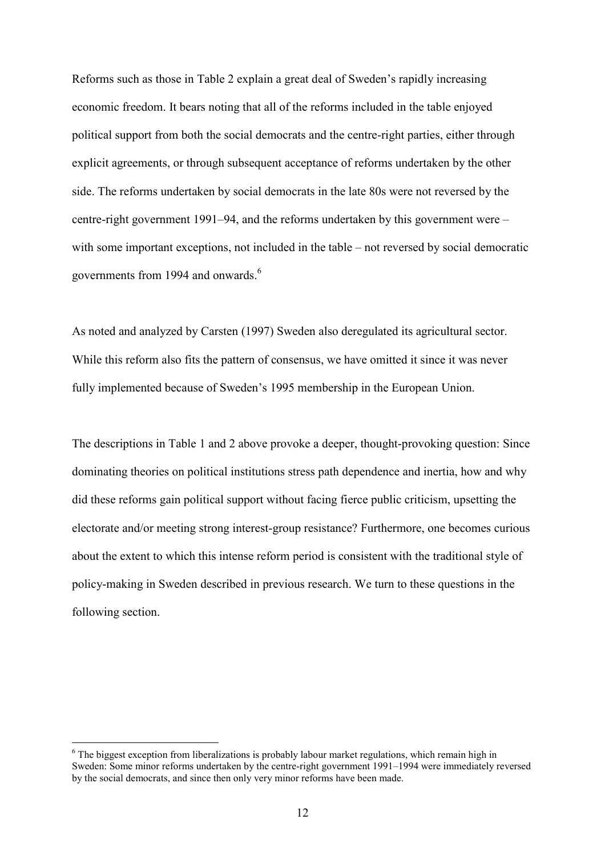Reforms such as those in Table 2 explain a great deal of Sweden's rapidly increasing economic freedom. It bears noting that all of the reforms included in the table enjoyed political support from both the social democrats and the centre-right parties, either through explicit agreements, or through subsequent acceptance of reforms undertaken by the other side. The reforms undertaken by social democrats in the late 80s were not reversed by the centre-right government 1991–94, and the reforms undertaken by this government were – with some important exceptions, not included in the table – not reversed by social democratic governments from 1994 and onwards.<sup>6</sup>

As noted and analyzed by Carsten (1997) Sweden also deregulated its agricultural sector. While this reform also fits the pattern of consensus, we have omitted it since it was never fully implemented because of Sweden's 1995 membership in the European Union.

The descriptions in Table 1 and 2 above provoke a deeper, thought-provoking question: Since dominating theories on political institutions stress path dependence and inertia, how and why did these reforms gain political support without facing fierce public criticism, upsetting the electorate and/or meeting strong interest-group resistance? Furthermore, one becomes curious about the extent to which this intense reform period is consistent with the traditional style of policy-making in Sweden described in previous research. We turn to these questions in the following section.

 $\overline{a}$ 

<sup>&</sup>lt;sup>6</sup> The biggest exception from liberalizations is probably labour market regulations, which remain high in Sweden: Some minor reforms undertaken by the centre-right government 1991–1994 were immediately reversed by the social democrats, and since then only very minor reforms have been made.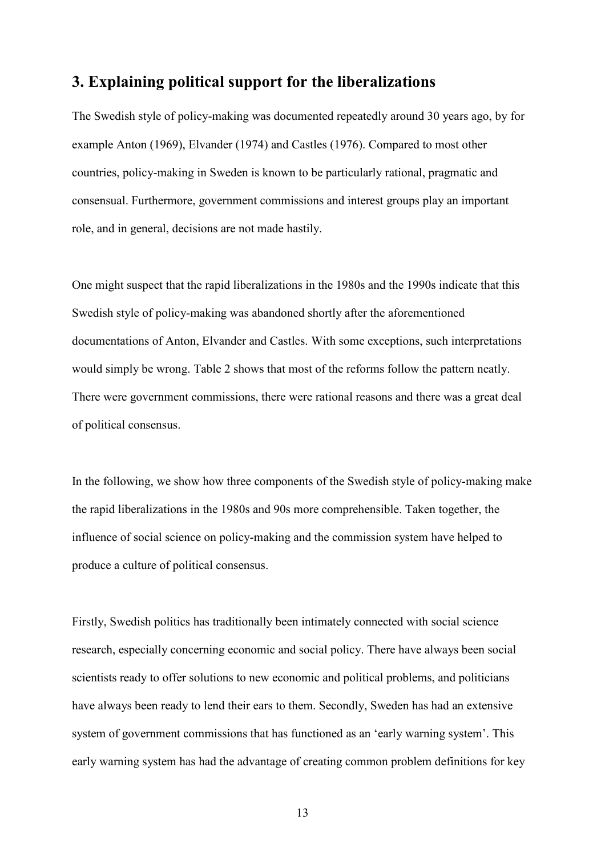### 3. Explaining political support for the liberalizations

The Swedish style of policy-making was documented repeatedly around 30 years ago, by for example Anton (1969), Elvander (1974) and Castles (1976). Compared to most other countries, policy-making in Sweden is known to be particularly rational, pragmatic and consensual. Furthermore, government commissions and interest groups play an important role, and in general, decisions are not made hastily.

One might suspect that the rapid liberalizations in the 1980s and the 1990s indicate that this Swedish style of policy-making was abandoned shortly after the aforementioned documentations of Anton, Elvander and Castles. With some exceptions, such interpretations would simply be wrong. Table 2 shows that most of the reforms follow the pattern neatly. There were government commissions, there were rational reasons and there was a great deal of political consensus.

In the following, we show how three components of the Swedish style of policy-making make the rapid liberalizations in the 1980s and 90s more comprehensible. Taken together, the influence of social science on policy-making and the commission system have helped to produce a culture of political consensus.

Firstly, Swedish politics has traditionally been intimately connected with social science research, especially concerning economic and social policy. There have always been social scientists ready to offer solutions to new economic and political problems, and politicians have always been ready to lend their ears to them. Secondly, Sweden has had an extensive system of government commissions that has functioned as an 'early warning system'. This early warning system has had the advantage of creating common problem definitions for key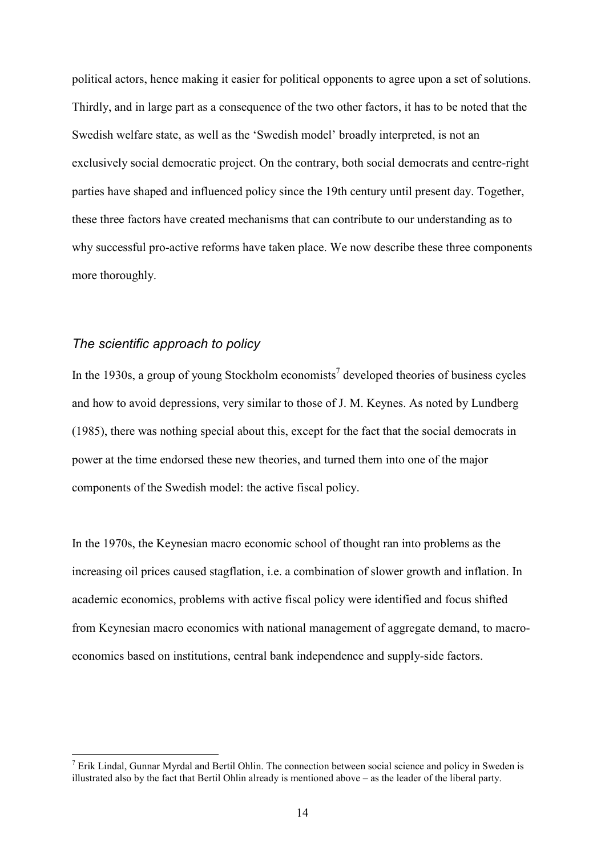political actors, hence making it easier for political opponents to agree upon a set of solutions. Thirdly, and in large part as a consequence of the two other factors, it has to be noted that the Swedish welfare state, as well as the 'Swedish model' broadly interpreted, is not an exclusively social democratic project. On the contrary, both social democrats and centre-right parties have shaped and influenced policy since the 19th century until present day. Together, these three factors have created mechanisms that can contribute to our understanding as to why successful pro-active reforms have taken place. We now describe these three components more thoroughly.

### The scientific approach to policy

 $\overline{a}$ 

In the 1930s, a group of young Stockholm economists<sup>7</sup> developed theories of business cycles and how to avoid depressions, very similar to those of J. M. Keynes. As noted by Lundberg (1985), there was nothing special about this, except for the fact that the social democrats in power at the time endorsed these new theories, and turned them into one of the major components of the Swedish model: the active fiscal policy.

In the 1970s, the Keynesian macro economic school of thought ran into problems as the increasing oil prices caused stagflation, i.e. a combination of slower growth and inflation. In academic economics, problems with active fiscal policy were identified and focus shifted from Keynesian macro economics with national management of aggregate demand, to macroeconomics based on institutions, central bank independence and supply-side factors.

 $<sup>7</sup>$  Erik Lindal, Gunnar Myrdal and Bertil Ohlin. The connection between social science and policy in Sweden is</sup> illustrated also by the fact that Bertil Ohlin already is mentioned above – as the leader of the liberal party.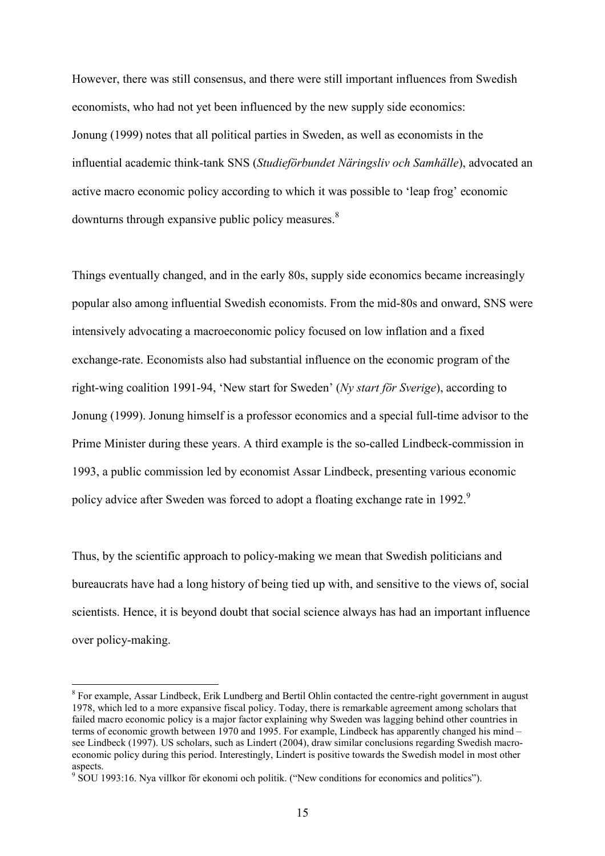However, there was still consensus, and there were still important influences from Swedish economists, who had not yet been influenced by the new supply side economics: Jonung (1999) notes that all political parties in Sweden, as well as economists in the influential academic think-tank SNS (Studieförbundet Näringsliv och Samhälle), advocated an active macro economic policy according to which it was possible to 'leap frog' economic downturns through expansive public policy measures.<sup>8</sup>

Things eventually changed, and in the early 80s, supply side economics became increasingly popular also among influential Swedish economists. From the mid-80s and onward, SNS were intensively advocating a macroeconomic policy focused on low inflation and a fixed exchange-rate. Economists also had substantial influence on the economic program of the right-wing coalition 1991-94, 'New start for Sweden' (Ny start för Sverige), according to Jonung (1999). Jonung himself is a professor economics and a special full-time advisor to the Prime Minister during these years. A third example is the so-called Lindbeck-commission in 1993, a public commission led by economist Assar Lindbeck, presenting various economic policy advice after Sweden was forced to adopt a floating exchange rate in 1992.<sup>9</sup>

Thus, by the scientific approach to policy-making we mean that Swedish politicians and bureaucrats have had a long history of being tied up with, and sensitive to the views of, social scientists. Hence, it is beyond doubt that social science always has had an important influence over policy-making.

 $\overline{a}$ 

<sup>&</sup>lt;sup>8</sup> For example, Assar Lindbeck, Erik Lundberg and Bertil Ohlin contacted the centre-right government in august 1978, which led to a more expansive fiscal policy. Today, there is remarkable agreement among scholars that failed macro economic policy is a major factor explaining why Sweden was lagging behind other countries in terms of economic growth between 1970 and 1995. For example, Lindbeck has apparently changed his mind – see Lindbeck (1997). US scholars, such as Lindert (2004), draw similar conclusions regarding Swedish macroeconomic policy during this period. Interestingly, Lindert is positive towards the Swedish model in most other aspects.

<sup>&</sup>lt;sup>9</sup> SOU 1993:16. Nya villkor för ekonomi och politik. ("New conditions for economics and politics").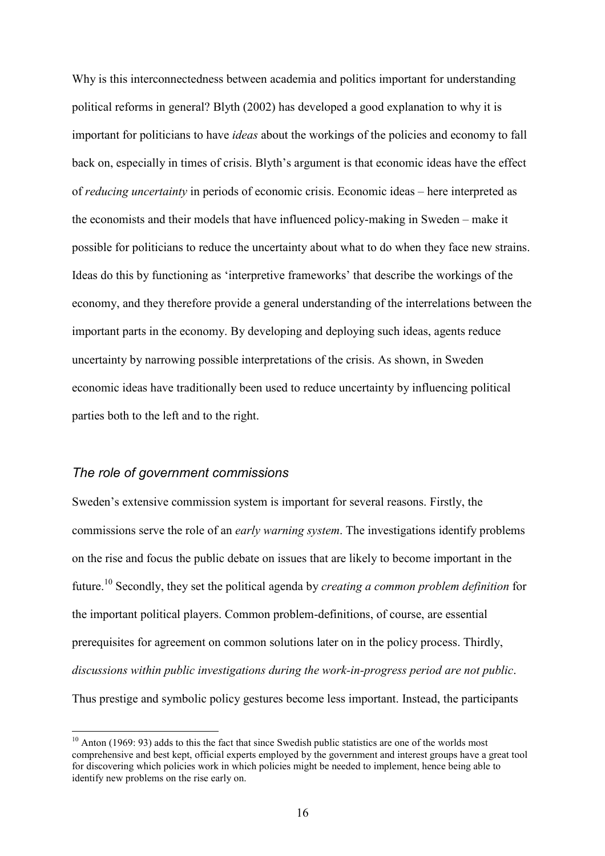Why is this interconnectedness between academia and politics important for understanding political reforms in general? Blyth (2002) has developed a good explanation to why it is important for politicians to have *ideas* about the workings of the policies and economy to fall back on, especially in times of crisis. Blyth's argument is that economic ideas have the effect of reducing uncertainty in periods of economic crisis. Economic ideas – here interpreted as the economists and their models that have influenced policy-making in Sweden – make it possible for politicians to reduce the uncertainty about what to do when they face new strains. Ideas do this by functioning as 'interpretive frameworks' that describe the workings of the economy, and they therefore provide a general understanding of the interrelations between the important parts in the economy. By developing and deploying such ideas, agents reduce uncertainty by narrowing possible interpretations of the crisis. As shown, in Sweden economic ideas have traditionally been used to reduce uncertainty by influencing political parties both to the left and to the right.

### The role of government commissions

 $\overline{a}$ 

Sweden's extensive commission system is important for several reasons. Firstly, the commissions serve the role of an early warning system. The investigations identify problems on the rise and focus the public debate on issues that are likely to become important in the future.<sup>10</sup> Secondly, they set the political agenda by *creating a common problem definition* for the important political players. Common problem-definitions, of course, are essential prerequisites for agreement on common solutions later on in the policy process. Thirdly, discussions within public investigations during the work-in-progress period are not public. Thus prestige and symbolic policy gestures become less important. Instead, the participants

 $10$  Anton (1969: 93) adds to this the fact that since Swedish public statistics are one of the worlds most comprehensive and best kept, official experts employed by the government and interest groups have a great tool for discovering which policies work in which policies might be needed to implement, hence being able to identify new problems on the rise early on.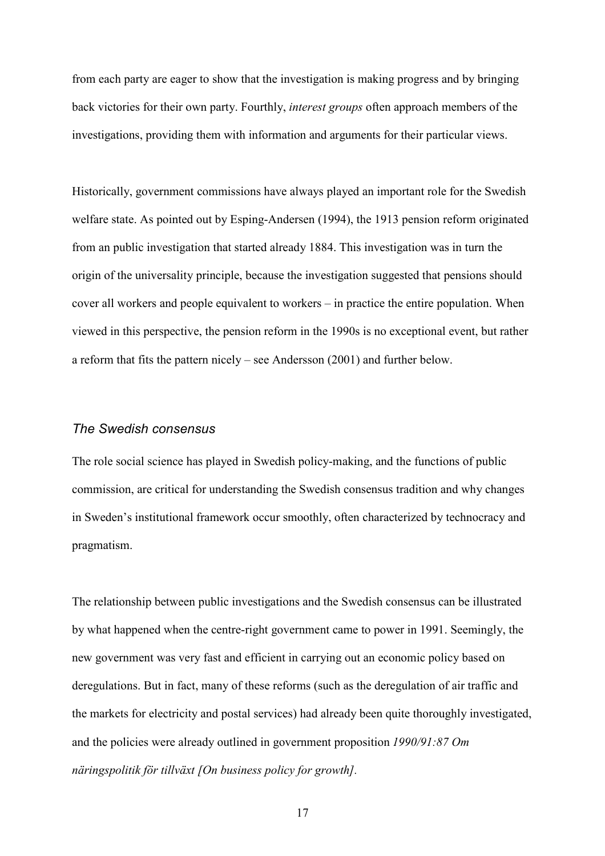from each party are eager to show that the investigation is making progress and by bringing back victories for their own party. Fourthly, interest groups often approach members of the investigations, providing them with information and arguments for their particular views.

Historically, government commissions have always played an important role for the Swedish welfare state. As pointed out by Esping-Andersen (1994), the 1913 pension reform originated from an public investigation that started already 1884. This investigation was in turn the origin of the universality principle, because the investigation suggested that pensions should cover all workers and people equivalent to workers – in practice the entire population. When viewed in this perspective, the pension reform in the 1990s is no exceptional event, but rather a reform that fits the pattern nicely – see Andersson (2001) and further below.

#### The Swedish consensus

The role social science has played in Swedish policy-making, and the functions of public commission, are critical for understanding the Swedish consensus tradition and why changes in Sweden's institutional framework occur smoothly, often characterized by technocracy and pragmatism.

The relationship between public investigations and the Swedish consensus can be illustrated by what happened when the centre-right government came to power in 1991. Seemingly, the new government was very fast and efficient in carrying out an economic policy based on deregulations. But in fact, many of these reforms (such as the deregulation of air traffic and the markets for electricity and postal services) had already been quite thoroughly investigated, and the policies were already outlined in government proposition 1990/91:87 Om näringspolitik för tillväxt [On business policy for growth].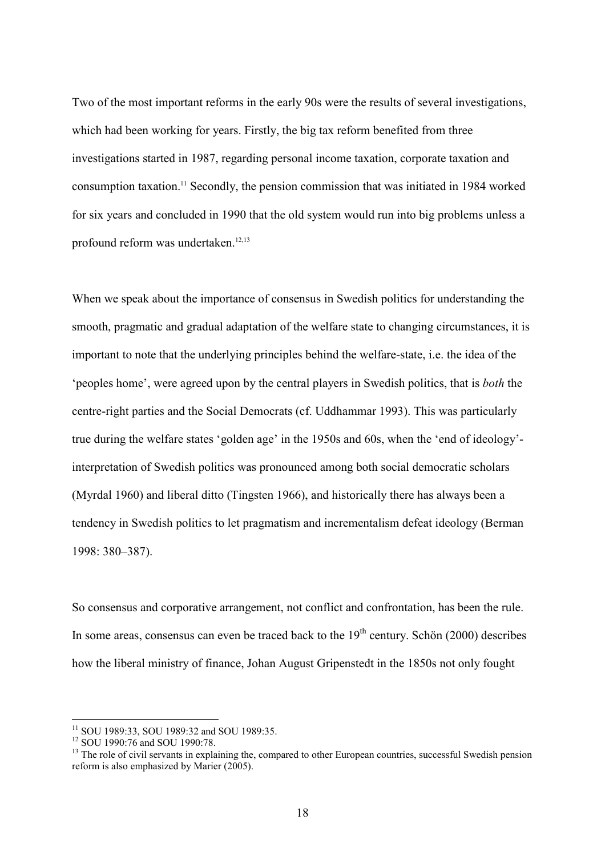Two of the most important reforms in the early 90s were the results of several investigations, which had been working for years. Firstly, the big tax reform benefited from three investigations started in 1987, regarding personal income taxation, corporate taxation and consumption taxation.<sup>11</sup> Secondly, the pension commission that was initiated in 1984 worked for six years and concluded in 1990 that the old system would run into big problems unless a profound reform was undertaken.<sup>12,13</sup>

When we speak about the importance of consensus in Swedish politics for understanding the smooth, pragmatic and gradual adaptation of the welfare state to changing circumstances, it is important to note that the underlying principles behind the welfare-state, i.e. the idea of the 'peoples home', were agreed upon by the central players in Swedish politics, that is both the centre-right parties and the Social Democrats (cf. Uddhammar 1993). This was particularly true during the welfare states 'golden age' in the 1950s and 60s, when the 'end of ideology' interpretation of Swedish politics was pronounced among both social democratic scholars (Myrdal 1960) and liberal ditto (Tingsten 1966), and historically there has always been a tendency in Swedish politics to let pragmatism and incrementalism defeat ideology (Berman 1998: 380–387).

So consensus and corporative arrangement, not conflict and confrontation, has been the rule. In some areas, consensus can even be traced back to the  $19<sup>th</sup>$  century. Schön (2000) describes how the liberal ministry of finance, Johan August Gripenstedt in the 1850s not only fought

 $\overline{a}$ 

<sup>&</sup>lt;sup>11</sup> SOU 1989:33, SOU 1989:32 and SOU 1989:35.

<sup>12</sup> SOU 1990:76 and SOU 1990:78.

<sup>&</sup>lt;sup>13</sup> The role of civil servants in explaining the, compared to other European countries, successful Swedish pension reform is also emphasized by Marier (2005).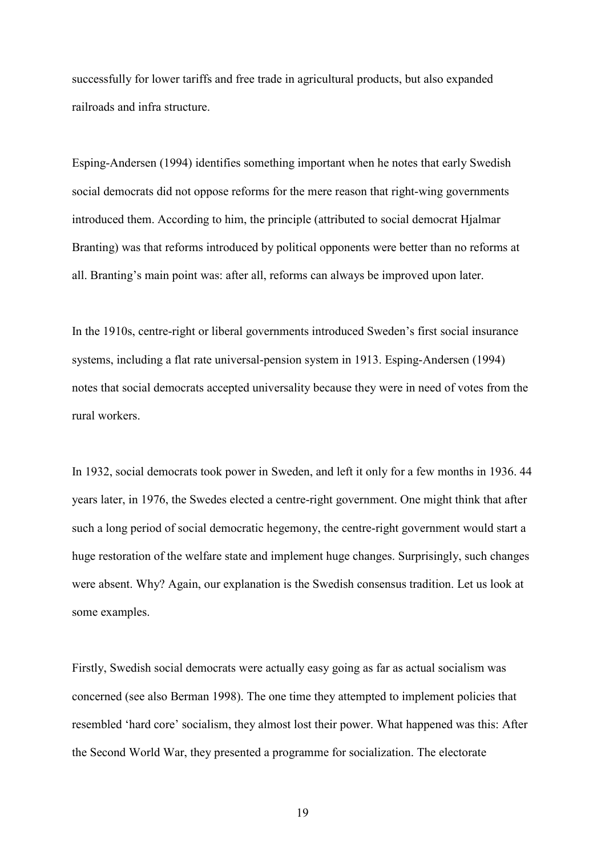successfully for lower tariffs and free trade in agricultural products, but also expanded railroads and infra structure.

Esping-Andersen (1994) identifies something important when he notes that early Swedish social democrats did not oppose reforms for the mere reason that right-wing governments introduced them. According to him, the principle (attributed to social democrat Hjalmar Branting) was that reforms introduced by political opponents were better than no reforms at all. Branting's main point was: after all, reforms can always be improved upon later.

In the 1910s, centre-right or liberal governments introduced Sweden's first social insurance systems, including a flat rate universal-pension system in 1913. Esping-Andersen (1994) notes that social democrats accepted universality because they were in need of votes from the rural workers.

In 1932, social democrats took power in Sweden, and left it only for a few months in 1936. 44 years later, in 1976, the Swedes elected a centre-right government. One might think that after such a long period of social democratic hegemony, the centre-right government would start a huge restoration of the welfare state and implement huge changes. Surprisingly, such changes were absent. Why? Again, our explanation is the Swedish consensus tradition. Let us look at some examples.

Firstly, Swedish social democrats were actually easy going as far as actual socialism was concerned (see also Berman 1998). The one time they attempted to implement policies that resembled 'hard core' socialism, they almost lost their power. What happened was this: After the Second World War, they presented a programme for socialization. The electorate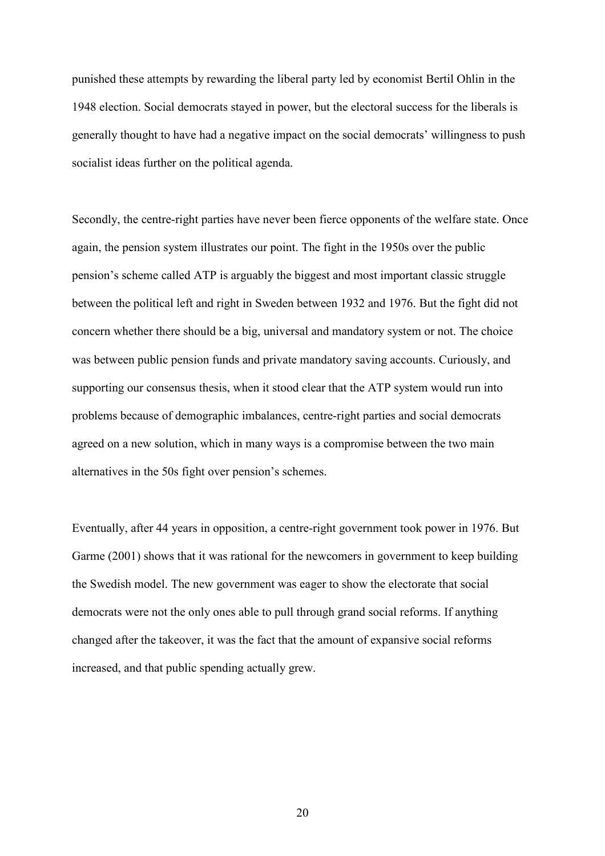punished these attempts by rewarding the liberal party led by economist Bertil Ohlin in the 1948 election. Social democrats stayed in power, but the electoral success for the liberals is generally thought to have had a negative impact on the social democrats' willingness to push socialist ideas further on the political agenda.

Secondly, the centre-right parties have never been fierce opponents of the welfare state. Once again, the pension system illustrates our point. The fight in the 1950s over the public pension's scheme called ATP is arguably the biggest and most important classic struggle between the political left and right in Sweden between 1932 and 1976. But the fight did not concern whether there should be a big, universal and mandatory system or not. The choice was between public pension funds and private mandatory saving accounts. Curiously, and supporting our consensus thesis, when it stood clear that the ATP system would run into problems because of demographic imbalances, centre-right parties and social democrats agreed on a new solution, which in many ways is a compromise between the two main alternatives in the 50s fight over pension's schemes.

Eventually, after 44 years in opposition, a centre-right government took power in 1976. But Garme (2001) shows that it was rational for the newcomers in government to keep building the Swedish model. The new government was eager to show the electorate that social democrats were not the only ones able to pull through grand social reforms. If anything changed after the takeover, it was the fact that the amount of expansive social reforms increased, and that public spending actually grew.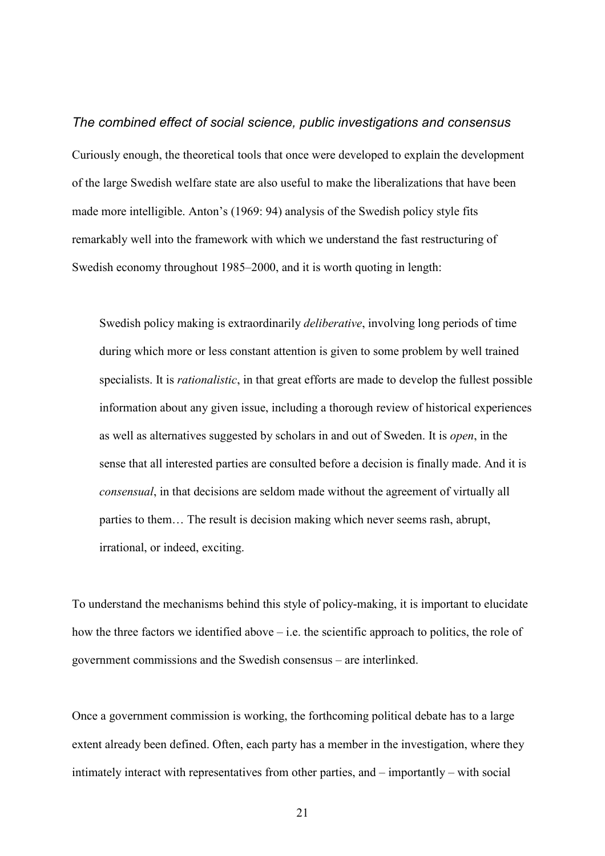The combined effect of social science, public investigations and consensus Curiously enough, the theoretical tools that once were developed to explain the development of the large Swedish welfare state are also useful to make the liberalizations that have been made more intelligible. Anton's (1969: 94) analysis of the Swedish policy style fits remarkably well into the framework with which we understand the fast restructuring of Swedish economy throughout 1985–2000, and it is worth quoting in length:

Swedish policy making is extraordinarily deliberative, involving long periods of time during which more or less constant attention is given to some problem by well trained specialists. It is *rationalistic*, in that great efforts are made to develop the fullest possible information about any given issue, including a thorough review of historical experiences as well as alternatives suggested by scholars in and out of Sweden. It is open, in the sense that all interested parties are consulted before a decision is finally made. And it is consensual, in that decisions are seldom made without the agreement of virtually all parties to them… The result is decision making which never seems rash, abrupt, irrational, or indeed, exciting.

To understand the mechanisms behind this style of policy-making, it is important to elucidate how the three factors we identified above – i.e. the scientific approach to politics, the role of government commissions and the Swedish consensus – are interlinked.

Once a government commission is working, the forthcoming political debate has to a large extent already been defined. Often, each party has a member in the investigation, where they intimately interact with representatives from other parties, and – importantly – with social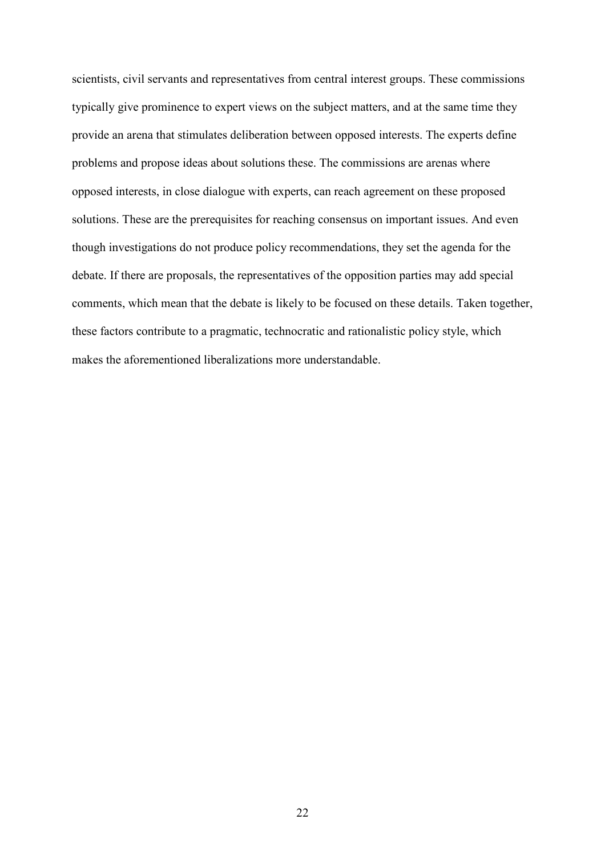scientists, civil servants and representatives from central interest groups. These commissions typically give prominence to expert views on the subject matters, and at the same time they provide an arena that stimulates deliberation between opposed interests. The experts define problems and propose ideas about solutions these. The commissions are arenas where opposed interests, in close dialogue with experts, can reach agreement on these proposed solutions. These are the prerequisites for reaching consensus on important issues. And even though investigations do not produce policy recommendations, they set the agenda for the debate. If there are proposals, the representatives of the opposition parties may add special comments, which mean that the debate is likely to be focused on these details. Taken together, these factors contribute to a pragmatic, technocratic and rationalistic policy style, which makes the aforementioned liberalizations more understandable.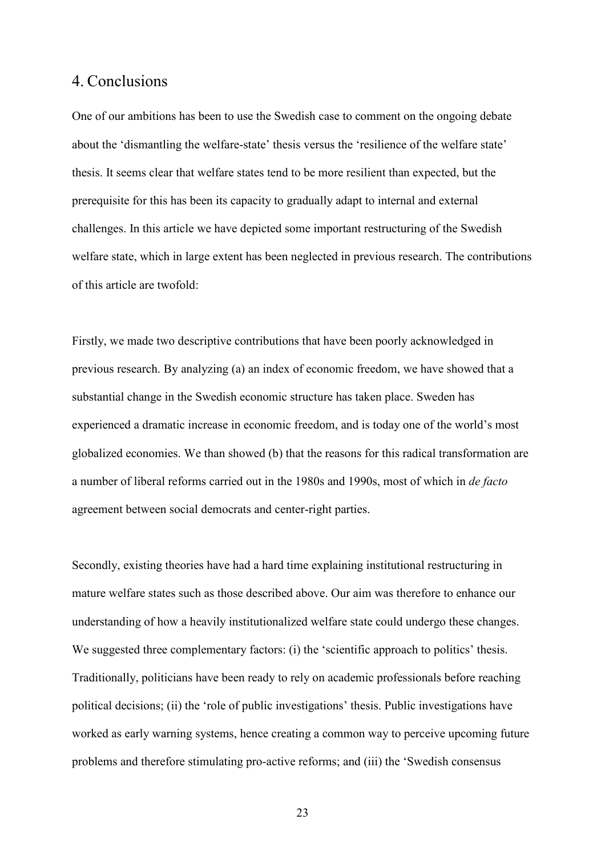### 4. Conclusions

One of our ambitions has been to use the Swedish case to comment on the ongoing debate about the 'dismantling the welfare-state' thesis versus the 'resilience of the welfare state' thesis. It seems clear that welfare states tend to be more resilient than expected, but the prerequisite for this has been its capacity to gradually adapt to internal and external challenges. In this article we have depicted some important restructuring of the Swedish welfare state, which in large extent has been neglected in previous research. The contributions of this article are twofold:

Firstly, we made two descriptive contributions that have been poorly acknowledged in previous research. By analyzing (a) an index of economic freedom, we have showed that a substantial change in the Swedish economic structure has taken place. Sweden has experienced a dramatic increase in economic freedom, and is today one of the world's most globalized economies. We than showed (b) that the reasons for this radical transformation are a number of liberal reforms carried out in the 1980s and 1990s, most of which in de facto agreement between social democrats and center-right parties.

Secondly, existing theories have had a hard time explaining institutional restructuring in mature welfare states such as those described above. Our aim was therefore to enhance our understanding of how a heavily institutionalized welfare state could undergo these changes. We suggested three complementary factors: (i) the 'scientific approach to politics' thesis. Traditionally, politicians have been ready to rely on academic professionals before reaching political decisions; (ii) the 'role of public investigations' thesis. Public investigations have worked as early warning systems, hence creating a common way to perceive upcoming future problems and therefore stimulating pro-active reforms; and (iii) the 'Swedish consensus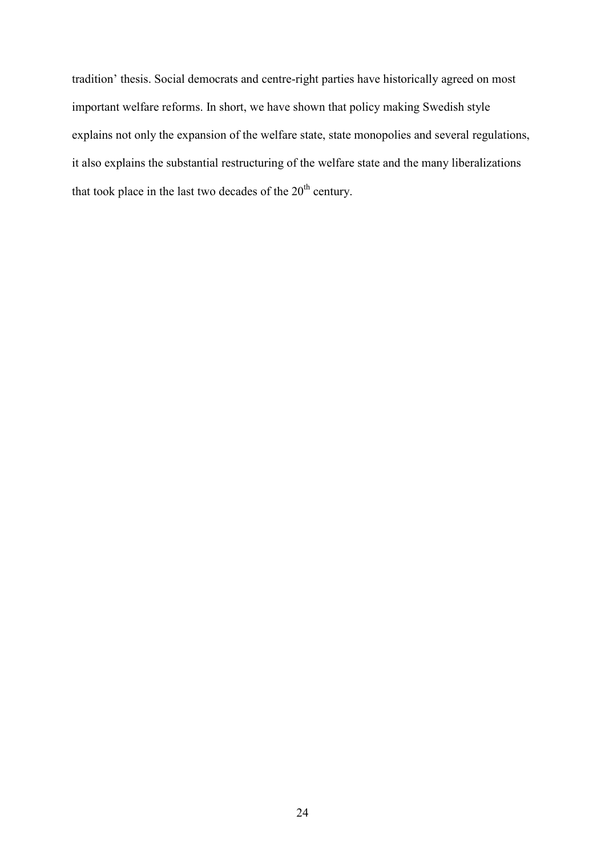tradition' thesis. Social democrats and centre-right parties have historically agreed on most important welfare reforms. In short, we have shown that policy making Swedish style explains not only the expansion of the welfare state, state monopolies and several regulations, it also explains the substantial restructuring of the welfare state and the many liberalizations that took place in the last two decades of the  $20<sup>th</sup>$  century.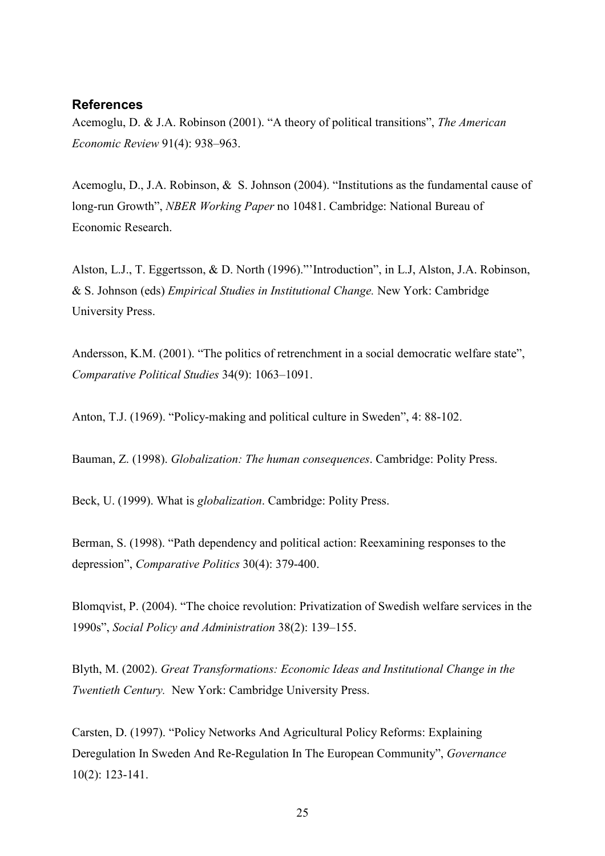### **References**

Acemoglu, D. & J.A. Robinson (2001). "A theory of political transitions", The American Economic Review 91(4): 938–963.

Acemoglu, D., J.A. Robinson, & S. Johnson (2004). "Institutions as the fundamental cause of long-run Growth", NBER Working Paper no 10481. Cambridge: National Bureau of Economic Research.

Alston, L.J., T. Eggertsson, & D. North (1996)."'Introduction", in L.J, Alston, J.A. Robinson, & S. Johnson (eds) Empirical Studies in Institutional Change. New York: Cambridge University Press.

Andersson, K.M. (2001). "The politics of retrenchment in a social democratic welfare state", Comparative Political Studies 34(9): 1063–1091.

Anton, T.J. (1969). "Policy-making and political culture in Sweden", 4: 88-102.

Bauman, Z. (1998). Globalization: The human consequences. Cambridge: Polity Press.

Beck, U. (1999). What is *globalization*. Cambridge: Polity Press.

Berman, S. (1998). "Path dependency and political action: Reexamining responses to the depression", Comparative Politics 30(4): 379-400.

Blomqvist, P. (2004). "The choice revolution: Privatization of Swedish welfare services in the 1990s", Social Policy and Administration 38(2): 139–155.

Blyth, M. (2002). Great Transformations: Economic Ideas and Institutional Change in the Twentieth Century. New York: Cambridge University Press.

Carsten, D. (1997). "Policy Networks And Agricultural Policy Reforms: Explaining Deregulation In Sweden And Re-Regulation In The European Community", Governance 10(2): 123-141.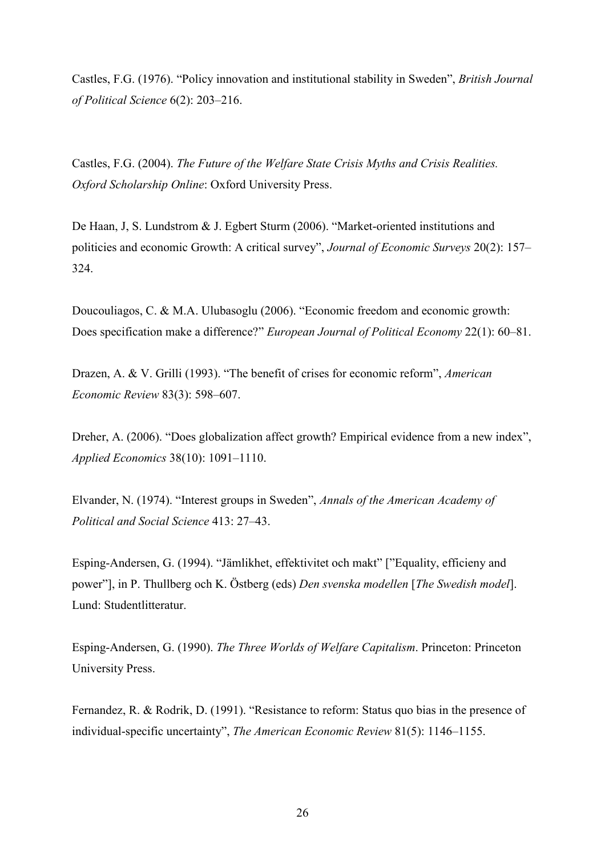Castles, F.G. (1976). "Policy innovation and institutional stability in Sweden", British Journal of Political Science 6(2): 203–216.

Castles, F.G. (2004). The Future of the Welfare State Crisis Myths and Crisis Realities. Oxford Scholarship Online: Oxford University Press.

De Haan, J, S. Lundstrom & J. Egbert Sturm (2006). "Market-oriented institutions and politicies and economic Growth: A critical survey", Journal of Economic Surveys 20(2): 157– 324.

Doucouliagos, C. & M.A. Ulubasoglu (2006). "Economic freedom and economic growth: Does specification make a difference?" European Journal of Political Economy 22(1): 60–81.

Drazen, A. & V. Grilli (1993). "The benefit of crises for economic reform", American Economic Review 83(3): 598–607.

Dreher, A. (2006). "Does globalization affect growth? Empirical evidence from a new index", Applied Economics 38(10): 1091–1110.

Elvander, N. (1974). "Interest groups in Sweden", Annals of the American Academy of Political and Social Science 413: 27–43.

Esping-Andersen, G. (1994). "Jämlikhet, effektivitet och makt" ["Equality, efficieny and power"], in P. Thullberg och K. Östberg (eds) Den svenska modellen [The Swedish model]. Lund: Studentlitteratur.

Esping-Andersen, G. (1990). The Three Worlds of Welfare Capitalism. Princeton: Princeton University Press.

Fernandez, R. & Rodrik, D. (1991). "Resistance to reform: Status quo bias in the presence of individual-specific uncertainty", The American Economic Review 81(5): 1146–1155.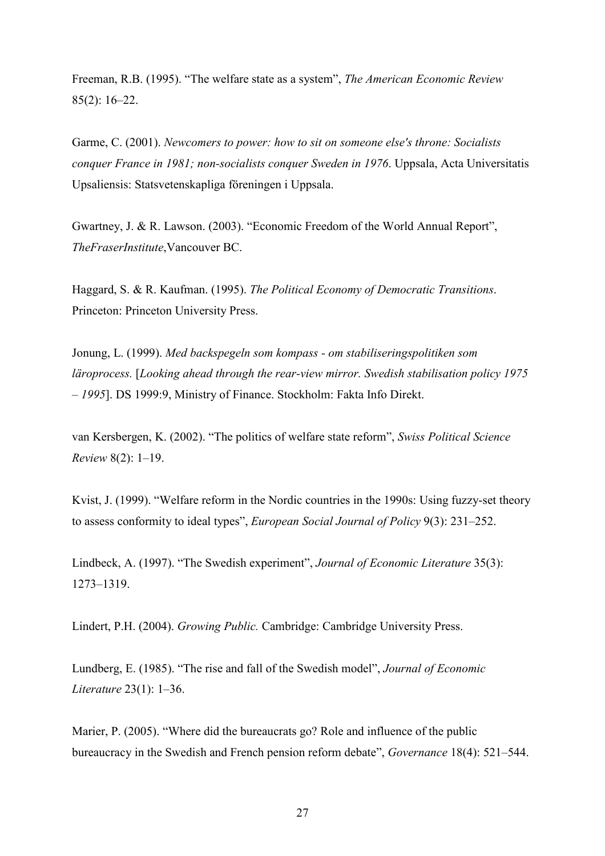Freeman, R.B. (1995). "The welfare state as a system", The American Economic Review 85(2): 16–22.

Garme, C. (2001). Newcomers to power: how to sit on someone else's throne: Socialists conquer France in 1981; non-socialists conquer Sweden in 1976. Uppsala, Acta Universitatis Upsaliensis: Statsvetenskapliga föreningen i Uppsala.

Gwartney, J. & R. Lawson. (2003). "Economic Freedom of the World Annual Report", TheFraserInstitute,Vancouver BC.

Haggard, S. & R. Kaufman. (1995). The Political Economy of Democratic Transitions. Princeton: Princeton University Press.

Jonung, L. (1999). Med backspegeln som kompass - om stabiliseringspolitiken som läroprocess. [Looking ahead through the rear-view mirror. Swedish stabilisation policy 1975 – 1995]. DS 1999:9, Ministry of Finance. Stockholm: Fakta Info Direkt.

van Kersbergen, K. (2002). "The politics of welfare state reform", Swiss Political Science Review 8(2): 1–19.

Kvist, J. (1999). "Welfare reform in the Nordic countries in the 1990s: Using fuzzy-set theory to assess conformity to ideal types", European Social Journal of Policy 9(3): 231–252.

Lindbeck, A. (1997). "The Swedish experiment", Journal of Economic Literature 35(3): 1273–1319.

Lindert, P.H. (2004). Growing Public. Cambridge: Cambridge University Press.

Lundberg, E. (1985). "The rise and fall of the Swedish model", Journal of Economic Literature 23(1): 1–36.

Marier, P. (2005). "Where did the bureaucrats go? Role and influence of the public bureaucracy in the Swedish and French pension reform debate", Governance 18(4): 521–544.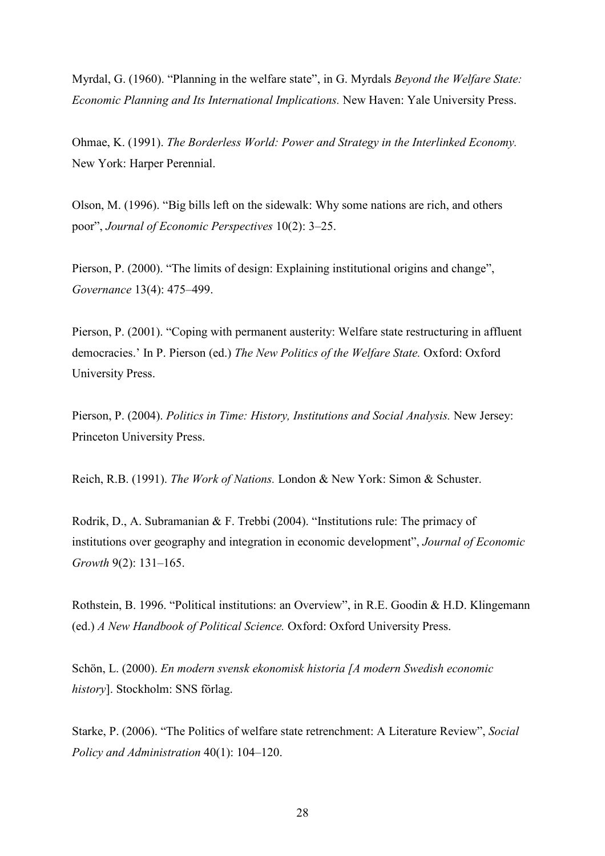Myrdal, G. (1960). "Planning in the welfare state", in G. Myrdals Beyond the Welfare State: Economic Planning and Its International Implications. New Haven: Yale University Press.

Ohmae, K. (1991). The Borderless World: Power and Strategy in the Interlinked Economy. New York: Harper Perennial.

Olson, M. (1996). "Big bills left on the sidewalk: Why some nations are rich, and others poor", Journal of Economic Perspectives 10(2): 3–25.

Pierson, P. (2000). "The limits of design: Explaining institutional origins and change", Governance 13(4): 475–499.

Pierson, P. (2001). "Coping with permanent austerity: Welfare state restructuring in affluent democracies.' In P. Pierson (ed.) The New Politics of the Welfare State. Oxford: Oxford University Press.

Pierson, P. (2004). Politics in Time: History, Institutions and Social Analysis. New Jersey: Princeton University Press.

Reich, R.B. (1991). The Work of Nations. London & New York: Simon & Schuster.

Rodrik, D., A. Subramanian & F. Trebbi (2004). "Institutions rule: The primacy of institutions over geography and integration in economic development", Journal of Economic Growth 9(2): 131–165.

Rothstein, B. 1996. "Political institutions: an Overview", in R.E. Goodin & H.D. Klingemann (ed.) A New Handbook of Political Science. Oxford: Oxford University Press.

Schön, L. (2000). En modern svensk ekonomisk historia [A modern Swedish economic history]. Stockholm: SNS förlag.

Starke, P. (2006). "The Politics of welfare state retrenchment: A Literature Review", Social Policy and Administration 40(1): 104–120.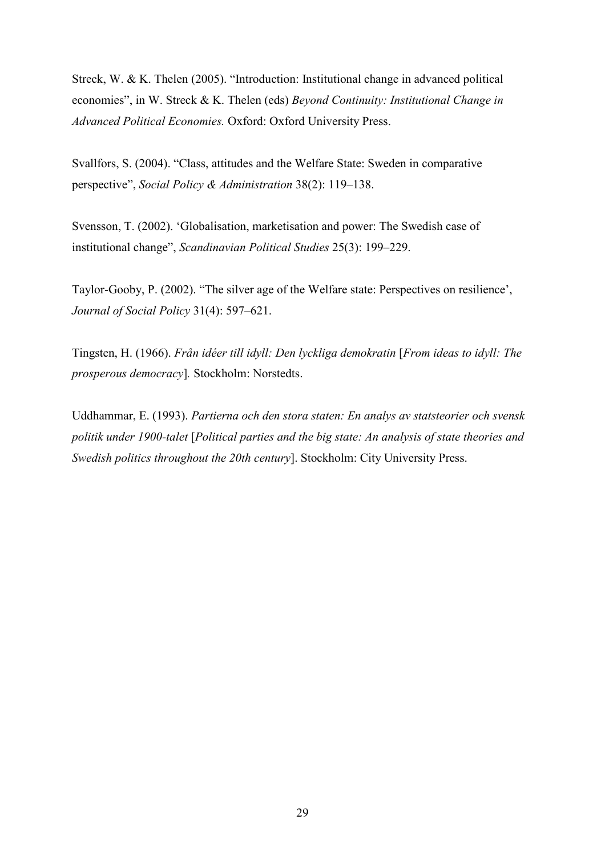Streck, W. & K. Thelen (2005). "Introduction: Institutional change in advanced political economies", in W. Streck & K. Thelen (eds) Beyond Continuity: Institutional Change in Advanced Political Economies. Oxford: Oxford University Press.

Svallfors, S. (2004). "Class, attitudes and the Welfare State: Sweden in comparative perspective", Social Policy & Administration 38(2): 119–138.

Svensson, T. (2002). 'Globalisation, marketisation and power: The Swedish case of institutional change", Scandinavian Political Studies 25(3): 199–229.

Taylor-Gooby, P. (2002). "The silver age of the Welfare state: Perspectives on resilience', Journal of Social Policy 31(4): 597–621.

Tingsten, H. (1966). Från idéer till idyll: Den lyckliga demokratin [From ideas to idyll: The prosperous democracy]. Stockholm: Norstedts.

Uddhammar, E. (1993). Partierna och den stora staten: En analys av statsteorier och svensk politik under 1900-talet [Political parties and the big state: An analysis of state theories and Swedish politics throughout the 20th century]. Stockholm: City University Press.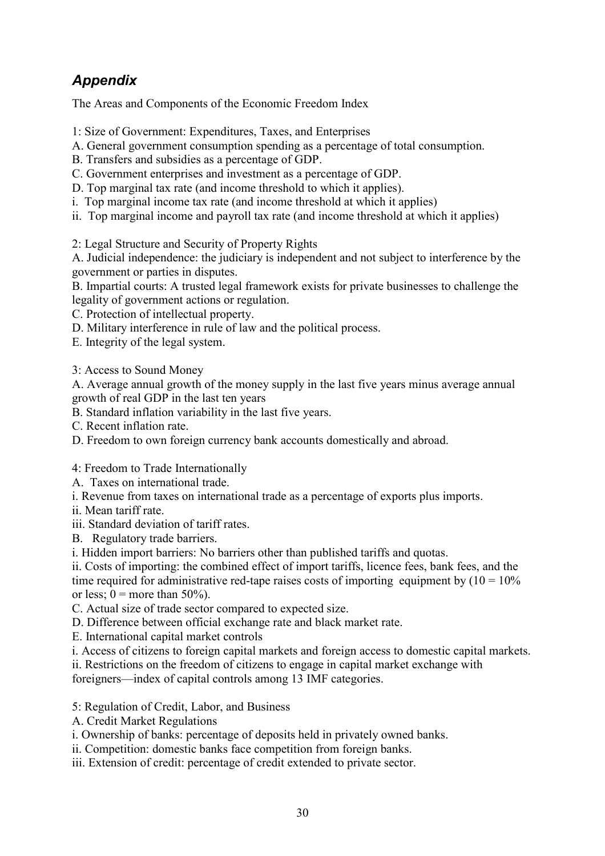## Appendix

The Areas and Components of the Economic Freedom Index

- 1: Size of Government: Expenditures, Taxes, and Enterprises
- A. General government consumption spending as a percentage of total consumption.
- B. Transfers and subsidies as a percentage of GDP.
- C. Government enterprises and investment as a percentage of GDP.
- D. Top marginal tax rate (and income threshold to which it applies).
- i. Top marginal income tax rate (and income threshold at which it applies)
- ii. Top marginal income and payroll tax rate (and income threshold at which it applies)
- 2: Legal Structure and Security of Property Rights

A. Judicial independence: the judiciary is independent and not subject to interference by the government or parties in disputes.

B. Impartial courts: A trusted legal framework exists for private businesses to challenge the legality of government actions or regulation.

C. Protection of intellectual property.

- D. Military interference in rule of law and the political process.
- E. Integrity of the legal system.

3: Access to Sound Money

A. Average annual growth of the money supply in the last five years minus average annual growth of real GDP in the last ten years

B. Standard inflation variability in the last five years.

- C. Recent inflation rate.
- D. Freedom to own foreign currency bank accounts domestically and abroad.

4: Freedom to Trade Internationally

A. Taxes on international trade.

- i. Revenue from taxes on international trade as a percentage of exports plus imports.
- ii. Mean tariff rate.

iii. Standard deviation of tariff rates.

B. Regulatory trade barriers.

i. Hidden import barriers: No barriers other than published tariffs and quotas.

ii. Costs of importing: the combined effect of import tariffs, licence fees, bank fees, and the time required for administrative red-tape raises costs of importing equipment by  $(10 = 10\%$ or less;  $0 =$  more than 50%).

C. Actual size of trade sector compared to expected size.

D. Difference between official exchange rate and black market rate.

E. International capital market controls

i. Access of citizens to foreign capital markets and foreign access to domestic capital markets.

ii. Restrictions on the freedom of citizens to engage in capital market exchange with

foreigners—index of capital controls among 13 IMF categories.

- 5: Regulation of Credit, Labor, and Business
- A. Credit Market Regulations

i. Ownership of banks: percentage of deposits held in privately owned banks.

ii. Competition: domestic banks face competition from foreign banks.

iii. Extension of credit: percentage of credit extended to private sector.